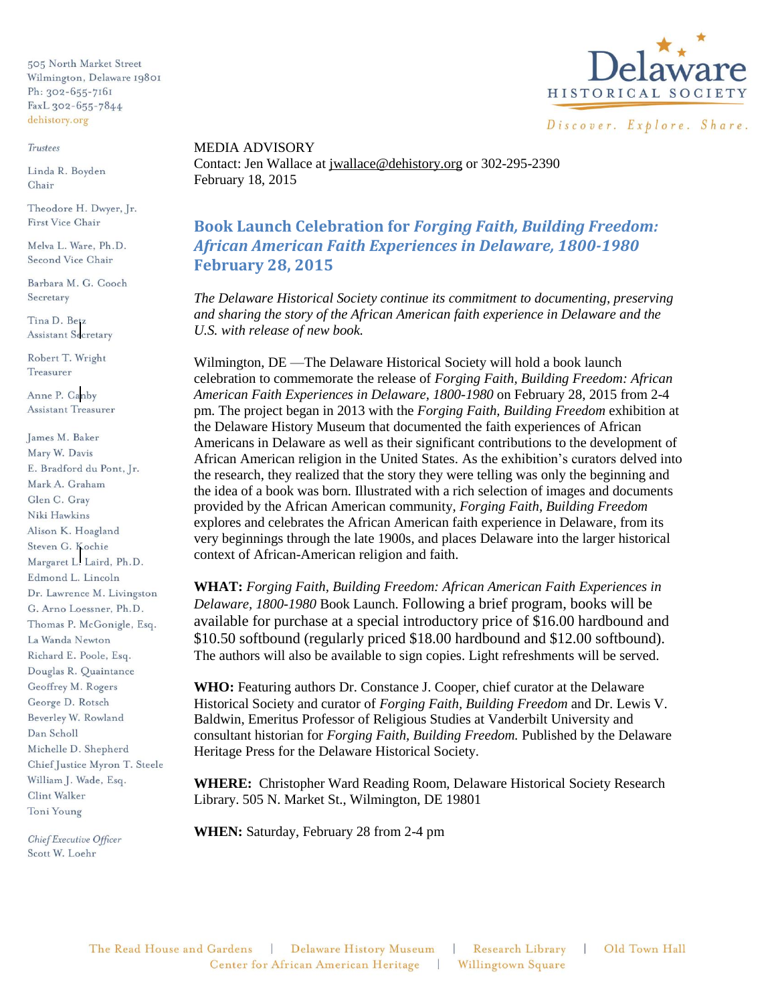505 North Market Street Wilmington, Delaware 19801 Ph: 302-655-7161 FaxL 302-655-7844 dehistory.org

## **Trustees**

Linda R. Boyden Chair

Theodore H. Dwyer, Jr. First Vice Chair

Melva L. Ware, Ph.D. Second Vice Chair

Barbara M. G. Cooch Secretary

Tina D. Betz **Assistant Secretary** 

Robert T. Wright Treasurer

Anne P. Canby Assistant Treasurer

James M. Baker Mary W. Davis E. Bradford du Pont, Jr. Mark A. Graham Glen C. Grav Niki Hawkins Alison K. Hoagland Steven G. Kochie Margaret L. Laird, Ph.D. Edmond L. Lincoln Dr. Lawrence M. Livingston G. Arno Loessner, Ph.D. Thomas P. McGonigle, Esq. La Wanda Newton Richard E. Poole, Esq. Douglas R. Quaintance Geoffrey M. Rogers George D. Rotsch Beverley W. Rowland Dan Scholl Michelle D. Shepherd Chief Justice Myron T. Steele William J. Wade, Esq. Clint Walker Toni Young

Chief Executive Officer Scott W. Loehr



MEDIA ADVISORY Contact: Jen Wallace at [jwallace@dehistory.org](mailto:jwallace@dehistory.org) or 302-295-2390 February 18, 2015

**Book Launch Celebration for** *Forging Faith, Building Freedom: African American Faith Experiences in Delaware, 1800-1980* **February 28, 2015**

*The Delaware Historical Society continue its commitment to documenting, preserving and sharing the story of the African American faith experience in Delaware and the U.S. with release of new book.* 

Wilmington, DE —The Delaware Historical Society will hold a book launch celebration to commemorate the release of *Forging Faith, Building Freedom: African American Faith Experiences in Delaware, 1800-1980* on February 28, 2015 from 2-4 pm. The project began in 2013 with the *Forging Faith, Building Freedom* exhibition at the Delaware History Museum that documented the faith experiences of African Americans in Delaware as well as their significant contributions to the development of African American religion in the United States. As the exhibition's curators delved into the research, they realized that the story they were telling was only the beginning and the idea of a book was born. Illustrated with a rich selection of images and documents provided by the African American community, *Forging Faith, Building Freedom* explores and celebrates the African American faith experience in Delaware, from its very beginnings through the late 1900s, and places Delaware into the larger historical context of African-American religion and faith.

**WHAT:** *Forging Faith, Building Freedom: African American Faith Experiences in Delaware, 1800-1980* Book Launch. Following a brief program, books will be available for purchase at a special introductory price of \$16.00 hardbound and \$10.50 softbound (regularly priced \$18.00 hardbound and \$12.00 softbound). The authors will also be available to sign copies. Light refreshments will be served.

**WHO:** Featuring authors Dr. Constance J. Cooper, chief curator at the Delaware Historical Society and curator of *Forging Faith, Building Freedom* and Dr. Lewis V. Baldwin, Emeritus Professor of Religious Studies at Vanderbilt University and consultant historian for *Forging Faith, Building Freedom.* Published by the Delaware Heritage Press for the Delaware Historical Society.

**WHERE:** Christopher Ward Reading Room, Delaware Historical Society Research Library. 505 N. Market St., Wilmington, DE 19801

**WHEN:** Saturday, February 28 from 2-4 pm